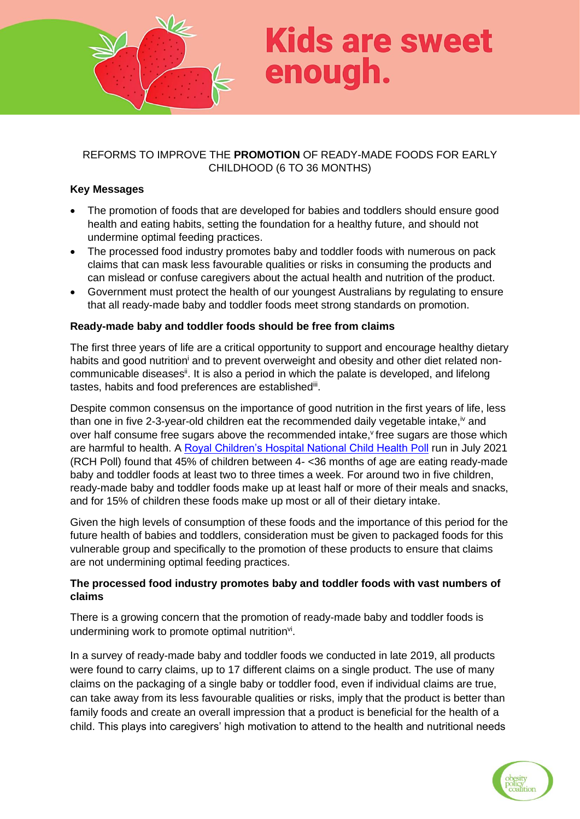

# **Kids are sweet** enough.

## REFORMS TO IMPROVE THE **PROMOTION** OF READY-MADE FOODS FOR EARLY CHILDHOOD (6 TO 36 MONTHS)

### **Key Messages**

- The promotion of foods that are developed for babies and toddlers should ensure good health and eating habits, setting the foundation for a healthy future, and should not undermine optimal feeding practices.
- The processed food industry promotes baby and toddler foods with numerous on pack claims that can mask less favourable qualities or risks in consuming the products and can mislead or confuse caregivers about the actual health and nutrition of the product.
- Government must protect the health of our youngest Australians by regulating to ensure that all ready-made baby and toddler foods meet strong standards on promotion.

### **Ready-made baby and toddler foods should be free from claims**

The first three years of life are a critical opportunity to support and encourage healthy dietary habits and good nutrition<sup>i</sup> and to prevent overweight and obesity and other diet related noncommunicable diseases<sup>ii</sup>. It is also a period in which the palate is developed, and lifelong tastes, habits and food preferences are established<sup>iii</sup>.

Despite common consensus on the importance of good nutrition in the first years of life, less than one in five 2-3-year-old children eat the recommended daily vegetable intake, $\dot{v}$  and over half consume free sugars above the recommended intake, free sugars are those which are harmful to health. A [Royal Children's Hospital National Child Health Poll](https://www.rchpoll.org.au/polls/ready-made-baby-foods-do-parents-know-the-facts/) run in July 2021 (RCH Poll) found that 45% of children between 4- <36 months of age are eating ready-made baby and toddler foods at least two to three times a week. For around two in five children, ready-made baby and toddler foods make up at least half or more of their meals and snacks, and for 15% of children these foods make up most or all of their dietary intake.

Given the high levels of consumption of these foods and the importance of this period for the future health of babies and toddlers, consideration must be given to packaged foods for this vulnerable group and specifically to the promotion of these products to ensure that claims are not undermining optimal feeding practices.

### **The processed food industry promotes baby and toddler foods with vast numbers of claims**

There is a growing concern that the promotion of ready-made baby and toddler foods is undermining work to promote optimal nutrition<sup>vi</sup>.

In a survey of ready-made baby and toddler foods we conducted in late 2019, all products were found to carry claims, up to 17 different claims on a single product. The use of many claims on the packaging of a single baby or toddler food, even if individual claims are true, can take away from its less favourable qualities or risks, imply that the product is better than family foods and create an overall impression that a product is beneficial for the health of a child. This plays into caregivers' high motivation to attend to the health and nutritional needs